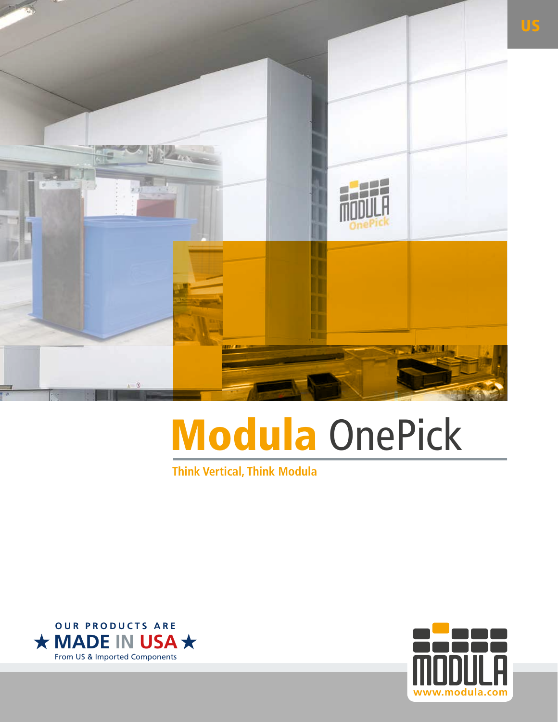

# Modula OnePick

**Think Vertical, Think Modula**



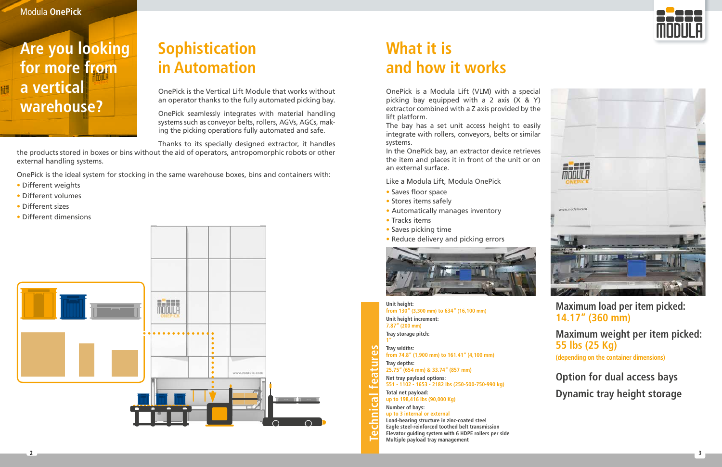

### **Are you looking for more from a vertical warehouse?**

Modula **OnePick**

### **Sophistication in Automation**

OnePick is the Vertical Lift Module that works without an operator thanks to the fully automated picking bay.

OnePick seamlessly integrates with material handling systems such as conveyor belts, rollers, AGVs, AGCs, making the picking operations fully automated and safe.

Thanks to its specially designed extractor, it handles

the products stored in boxes or bins without the aid of operators, antropomorphic robots or other external handling systems.

OnePick is the ideal system for stocking in the same warehouse boxes, bins and containers with:

- Different weights
- Different volumes
- Different sizes

硼

• Different dimensions



### **What it is and how it works**

OnePick is a Modula Lift (VLM) with a special

- 
- 
- 
- 
- 
- 



**Unit height: from 130" (3,300 mm) to 634" (16,100 mm)**

**Unit height increment: 7.87" (200 mm) Tray storage pitch:**

**1"** Technical features **Technical features Tray widths: from 74.8" (1,900 mm) to 161.41" (4,100 mm) Tray depths: 25.75" (654 mm) & 33.74" (857 mm) Net tray payload options: 551 - 1102 - 1653 - 2182 lbs (250-500-750-990 kg) Total net payload: up to 198,416 lbs (90,000 Kg) Number of bays: up to 3 internal or external Load-bearing structure in zinc-coated steel Eagle steel-reinforced toothed belt transmission Elevator guiding system with 6 HDPE rollers per side**

**Multiple payload tray management**

**Maximum load per item picked: 14.17" (360 mm)**

**Maximum weight per item picked: 55 lbs (25 Kg) (depending on the container dimensions)**

**Option for dual access bays Dynamic tray height storage**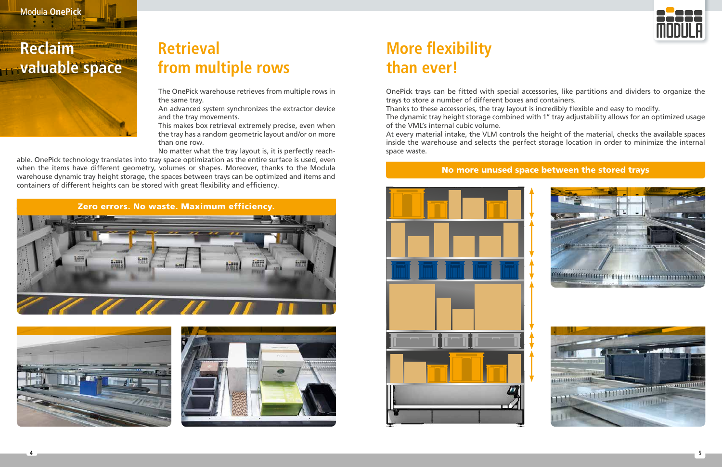

- 
- 
- 





![](_page_2_Picture_22.jpeg)

### **Reclaim valuable space**

### **Retrieval from multiple rows**

The OnePick warehouse retrieves from multiple rows in the same tray.

An advanced system synchronizes the extractor device and the tray movements.

This makes box retrieval extremely precise, even when the tray has a random geometric layout and/or on more than one row.

No matter what the tray layout is, it is perfectly reach-

able. OnePick technology translates into tray space optimization as the entire surface is used, even when the items have different geometry, volumes or shapes. Moreover, thanks to the Modula warehouse dynamic tray height storage, the spaces between trays can be optimized and items and containers of different heights can be stored with great flexibility and efficiency.

![](_page_2_Picture_8.jpeg)

![](_page_2_Picture_9.jpeg)

![](_page_2_Picture_10.jpeg)

## **More flexibility than ever!**

OnePick trays can be fitted with special accessories, like partitions and dividers to organize the trays to store a number of different boxes and containers. Thanks to these accessories, the tray layout is incredibly flexible and easy to modify. The dynamic tray height storage combined with 1" tray adjustability allows for an optimized usage of the VML's internal cubic volume. At every material intake, the VLM controls the height of the material, checks the available spaces inside the warehouse and selects the perfect storage location in order to minimize the internal

space waste.

#### No more unused space between the stored trays

![](_page_2_Figure_14.jpeg)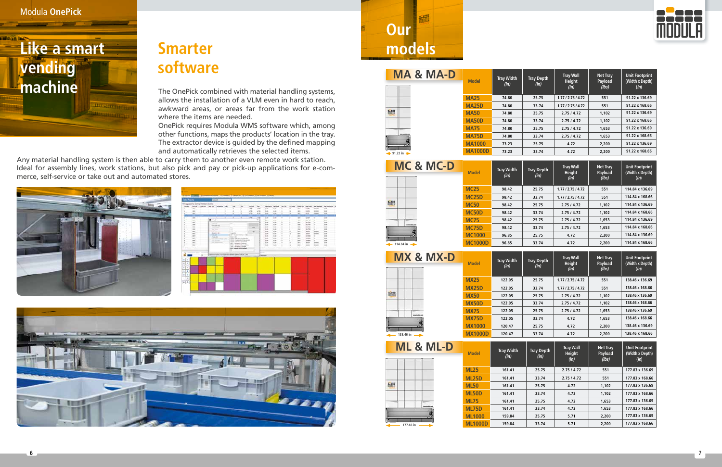![](_page_3_Picture_1.jpeg)

#### Modula **OnePick**

### **Smarter software**

The OnePick combined with material handling systems, allows the installation of a VLM even in hard to reach, awkward areas, or areas far from the work station where the items are needed.

OnePick requires Modula WMS software which, among other functions, maps the products' location in the tray. The extractor device is guided by the defined mapping and automatically retrieves the selected items.

細 **Our models**

Any material handling system is then able to carry them to another even remote work station. Ideal for assembly lines, work stations, but also pick and pay or pick-up applications for e-commerce, self-service or take out and automated stores.

![](_page_3_Picture_6.jpeg)

|                                  | <b>San Health</b>               |                                                 | <b>CONTRACTOR</b> |                                            |                | ۰           |                                                                                                              |               |              |                             |                 |                          |                |                          |                    |                          |              |
|----------------------------------|---------------------------------|-------------------------------------------------|-------------------|--------------------------------------------|----------------|-------------|--------------------------------------------------------------------------------------------------------------|---------------|--------------|-----------------------------|-----------------|--------------------------|----------------|--------------------------|--------------------|--------------------------|--------------|
|                                  |                                 | No Inagrigazioni, Agosti grimentazio il coloral |                   |                                            |                |             |                                                                                                              |               |              |                             |                 |                          |                |                          |                    |                          |              |
| <b>Station</b>                   |                                 | Ind all - handed - San Isla                     |                   | <b>College Corp.</b>                       | $\sim$         |             | $\sim$                                                                                                       | cartage.      | $\equiv$     | <b>Telephone State Book</b> |                 | --                       | in losses      | <b>Sand Afr</b>          | <b>High cuttle</b> | <b>THE REAL PROPERTY</b> | Test Age of  |
|                                  | an's                            |                                                 |                   |                                            |                |             | ×                                                                                                            | $\times 10$   | 12.76        | 6 mil                       | <b>LIGH</b>     | $\sim$                   | $\blacksquare$ | w.                       | sent               | <b>MARK</b>              | 'd site.     |
|                                  | ini                             |                                                 |                   |                                            |                |             | E                                                                                                            | $-14$         | 4.58         | <b>Lake</b>                 | 5.400           | $\alpha$                 | ×              | m                        | p.cms              | <b>SECRET</b>            | is and       |
|                                  | <b>And</b>                      |                                                 |                   |                                            |                | ı           | m                                                                                                            | $-10$         | ar free      | 5,000<br>٠                  | <b>CALL</b><br> | $\overline{a}$<br>n      | $\blacksquare$ | <b>ALL</b>               | <b>Le most</b>     | $-$                      | 14.0041      |
|                                  | <b>SHEE</b>                     |                                                 |                   | ≖                                          | ÷              | ÷           | ×                                                                                                            | $-$           | on Fig.      | 1.00                        | <b>Late</b>     | $\overline{\phantom{a}}$ | ٠              | $\overline{ }$           | state.             | ×                        | <b>SHIP</b>  |
|                                  | m                               |                                                 | <b>Binney</b>     |                                            |                |             |                                                                                                              |               | $\mathbb{R}$ | <b>Low</b>                  | 1166            | ×                        |                | $\overline{\phantom{a}}$ | sturki             | ×                        | 100          |
|                                  | $\rightarrow$                   |                                                 |                   |                                            |                |             |                                                                                                              |               |              | 5.000                       | <b>ALMOST</b>   | ç                        | ţ              | $\equiv$                 | <b>WATER</b>       | ×                        | <b>Visit</b> |
|                                  | m                               |                                                 | <b>CONTRACTOR</b> |                                            |                | $\sim$      |                                                                                                              |               |              | <b>Last</b>                 | 5,630           | ٠                        | ×              | <b>COL</b>               | <b>Harrist</b>     | ¥                        | $+488$       |
|                                  | m                               |                                                 |                   | <b>Daniel Gallery All</b><br>Topic plants. |                | ÷           |                                                                                                              |               |              | 4,990                       | <b>TIME</b>     | $\sim$                   | ¥              | $\leftarrow$             | 18 or hai          | ¥                        | 10.004       |
|                                  | <b>HH</b>                       |                                                 | ---               |                                            |                | -           |                                                                                                              | <b>MAG</b>    |              | $1 - 1$                     | <b>LEE</b>      | ¥                        | y              | <b>HE</b>                | 18.2761            | ×                        | 14,644       |
|                                  | m                               |                                                 | <b>CALLAS</b>     |                                            |                | ÷           |                                                                                                              | $\frac{1}{2}$ |              | 5.446                       | 5.840           | ٠                        | ×              | in.                      | state              | in in                    | 16.0046      |
|                                  | m                               |                                                 |                   | Goldman on                                 |                | 1-reporters |                                                                                                              |               |              | 1.001                       | <b>TIME</b>     | $\sim$                   | ٠              | m                        | $-0.001$           | <b>SECURITY</b>          | 10.006       |
|                                  | <b>SET</b>                      |                                                 | Suite rate        |                                            |                |             | 100 Grade Granty - M                                                                                         |               |              | <b>Last</b>                 | <b>LIGHT</b>    | ¥                        | ×              | m                        | 10000              | ¥                        | 144          |
|                                  | m                               |                                                 | <b>Auril All</b>  |                                            | <b>COLLANS</b> | taken rate  | (DATE - Sterelste (274-4034)                                                                                 |               |              | 1,400                       | <b>SLAND</b>    | ×                        | ×              | into                     | <b>United</b>      | ×                        | <b>SAM</b>   |
|                                  | m                               |                                                 | ---               | <b>DE BOARD</b>                            |                |             | THREE CAMPION OR HANDLEY                                                                                     |               |              | 4,000                       | 1104            | ٠                        | ×              | 100                      | anno.              | ×                        | 10.0041      |
|                                  | ters.                           |                                                 |                   | the comment of                             |                |             | USERA 1 External Available 1<br>LANT: Fadount Classroom                                                      |               |              | to and                      | total           | ¥                        | ×              | w.                       | eas                | ARM                      | <b>SALE</b>  |
|                                  | ins.                            |                                                 |                   |                                            |                |             | Their equipment of exceptions                                                                                |               |              | 3.400                       | <b>SUMM</b>     | $\sim$                   | ×              | m                        | man                | ARMS                     | time.        |
|                                  | <b>Manufactured ATTIS: "The</b> | $\rightarrow$                                   |                   |                                            |                |             | DRL Tearages (Trainate)<br><b>STATE AREA ARRANGEMENT</b><br>International and content denter performance and |               |              | <b>R</b> House              |                 |                          |                |                          |                    |                          |              |
| 车116<br>$+1.1$ H                 |                                 |                                                 |                   |                                            |                |             |                                                                                                              |               |              |                             |                 |                          |                |                          |                    |                          |              |
| $+14$<br>ــ                      |                                 |                                                 |                   |                                            |                |             |                                                                                                              |               |              |                             |                 |                          |                |                          |                    |                          |              |
| 7.10<br>. .                      |                                 |                                                 |                   |                                            |                |             |                                                                                                              |               |              |                             |                 |                          |                |                          |                    |                          |              |
| la                               |                                 |                                                 |                   |                                            |                | ٠           |                                                                                                              |               |              |                             |                 |                          |                |                          |                    |                          |              |
| <b>Service</b><br>$\Phi_{\rm X}$ |                                 |                                                 |                   |                                            |                |             |                                                                                                              |               |              |                             |                 |                          |                |                          |                    |                          |              |
|                                  |                                 |                                                 |                   |                                            |                |             |                                                                                                              |               |              |                             |                 |                          |                |                          |                    |                          |              |
|                                  |                                 |                                                 |                   |                                            |                |             |                                                                                                              |               |              |                             |                 |                          |                |                          |                    |                          |              |
| ule                              |                                 |                                                 |                   |                                            |                |             |                                                                                                              |               |              |                             |                 |                          |                |                          |                    |                          |              |

![](_page_3_Picture_8.jpeg)

| MX & MX-D   | <b>Model</b>   | <b>Tray Width</b><br>(in) | <b>Tray Depth</b><br>(in) | <b>Tray Wall</b><br><b>Height</b><br>(in) | <b>Net Tray</b><br>Payload<br>(lbs) | <b>Unit Footprint</b><br>(Width x Depth)<br>(in) |
|-------------|----------------|---------------------------|---------------------------|-------------------------------------------|-------------------------------------|--------------------------------------------------|
|             | <b>MX25</b>    | 122.05                    | 25.75                     | 1.77/2.75/4.72                            | 551                                 | 138.46 x 136.69                                  |
|             | <b>MX25D</b>   | 122.05                    | 33.74                     | 1.77/2.75/4.72                            | 551                                 | 138.46 x 168.66                                  |
| 栅           | <b>MX50</b>    | 122.05                    | 25.75                     | 2.75/4.72                                 | 1,102                               | 138.46 x 136.69                                  |
|             | <b>MX50D</b>   | 122.05                    | 33.74                     | 2.75/4.72                                 | 1,102                               | 138.46 x 168.66                                  |
|             | <b>MX75</b>    | 122.05                    | 25.75                     | 2.75/4.72                                 | 1,653                               | 138.46 x 136.69                                  |
|             | <b>MX75D</b>   | 122.05                    | 33.74                     | 4.72                                      | 1,653                               | 138.46 x 168.66                                  |
|             | <b>MX1000</b>  | 120.47                    | 25.75                     | 4.72                                      | 2,200                               | 138.46 x 136.69                                  |
| 138.46 in - | <b>MX1000D</b> | 120.47                    | 33.74                     | 4.72                                      | 2,200                               | 138.46 x 168.66                                  |
| ML & ML-D   | <b>Model</b>   | <b>Tray Width</b><br>(in) | <b>Tray Depth</b><br>(in) | <b>Tray Wall</b><br><b>Height</b><br>(in) | <b>Net Tray</b><br>Payload<br>(lbs) | <b>Unit Footprint</b><br>(Width x Depth)<br>(in) |
|             | <b>ML25</b>    | 161.41                    | 25.75                     | 2.75/4.72                                 | 551                                 | 177.83 x 136.69                                  |
|             | <b>BALOCD</b>  | .                         | $\sim$ $\sim$ $\sim$      | .                                         | $- - -$                             | $- - - - - - - - - -$                            |

翻

| MA & MA-D                            | <b>Model</b>   | <b>Tray Width</b><br>(in) | <b>Tray Depth</b><br>(in) | <b>Tray Wall</b><br>Height<br>(in) | <b>Net Tray</b><br>Payload<br>(lbs) | <b>Unit Footprint</b><br>(Width x Depth)<br>(in) |
|--------------------------------------|----------------|---------------------------|---------------------------|------------------------------------|-------------------------------------|--------------------------------------------------|
|                                      | <b>MA25</b>    | 74.80                     | 25.75                     | 1.77/2.75/4.72                     | 551                                 | 91.22 x 136.69                                   |
|                                      | <b>MA25D</b>   | 74.80                     | 33.74                     | 1.77/2.75/4.72                     | 551                                 | 91.22 x 168.66                                   |
| <b>MIT</b>                           | <b>MA50</b>    | 74.80                     | 25.75                     | 2.75/4.72                          | 1,102                               | 91.22 x 136.69                                   |
|                                      | <b>MA50D</b>   | 74.80                     | 33.74                     | 2.75/4.72                          | 1,102                               | 91.22 x 168.66                                   |
|                                      | <b>MA75</b>    | 74.80                     | 25.75                     | 2.75/4.72                          | 1,653                               | 91.22 x 136.69                                   |
| ----                                 | <b>MA75D</b>   | 74.80                     | 33.74                     | 2.75/4.72                          | 1,653                               | 91.22 x 168.66                                   |
|                                      | <b>MA1000</b>  | 73.23                     | 25.75                     | 4.72                               | 2,200                               | 91.22 x 136.69                                   |
| $\rightarrow$ 91.22 in $\rightarrow$ | <b>MA1000D</b> | 73.23                     | 33.74                     | 4.72                               | 2,200                               | 91.22 x 168.66                                   |

| <b>Model</b>   | <b>Tray Width</b><br>(in) | <b>Tray Depth</b><br>(in) | <b>Tray Wall</b><br><b>Height</b><br>(in) | <b>Net Tray</b><br>Payload<br>(lbs) | <b>Unit Footprint</b><br>(Width x Depth)<br>(in) |
|----------------|---------------------------|---------------------------|-------------------------------------------|-------------------------------------|--------------------------------------------------|
| <b>ML25</b>    | 161.41                    | 25.75                     | 2.75/4.72                                 | 551                                 | 177.83 x 136.69                                  |
| <b>ML25D</b>   | 161.41                    | 33.74                     | 2.75/4.72                                 | 551                                 | 177.83 x 168.66                                  |
| <b>ML50</b>    | 161.41                    | 25.75                     | 4.72                                      | 1,102                               | 177.83 x 136.69                                  |
| <b>ML50D</b>   | 161.41                    | 33.74                     | 4.72                                      | 1.102                               | 177.83 x 168.66                                  |
| <b>ML75</b>    | 161.41                    | 25.75                     | 4.72                                      | 1.653                               | 177.83 x 136.69                                  |
| <b>ML75D</b>   | 161.41                    | 33.74                     | 4.72                                      | 1,653                               | 177.83 x 168.66                                  |
| <b>ML1000</b>  | 159.84                    | 25.75                     | 5.71                                      | 2,200                               | 177.83 x 136.69                                  |
| <b>ML1000D</b> | 159.84                    | 33.74                     | 5.71                                      | 2,200                               | 177.83 x 168.66                                  |

| MC & MC-D         | <b>Model</b>   | <b>Tray Width</b><br>(in) | <b>Tray Depth</b><br>(in) | <b>Tray Wall</b><br>Height<br>(in) | <b>Net Tray</b><br>Payload<br>(lbs) | <b>Unit Footprint</b><br>(Width x Depth)<br>(in) |
|-------------------|----------------|---------------------------|---------------------------|------------------------------------|-------------------------------------|--------------------------------------------------|
|                   | <b>MC25</b>    | 98.42                     | 25.75                     | 1.77/2.75/4.72                     | 551                                 | 114.84 x 136.69                                  |
|                   | <b>MC25D</b>   | 98.42                     | 33.74                     | 1.77/2.75/4.72                     | 551                                 | 114.84 x 168.66                                  |
| 圖                 | <b>MC50</b>    | 98.42                     | 25.75                     | 2.75/4.72                          | 1,102                               | 114.84 x 136.69                                  |
|                   | <b>MC50D</b>   | 98.42                     | 33.74                     | 2.75/4.72                          | 1,102                               | 114.84 x 168.66                                  |
|                   | <b>MC75</b>    | 98.42                     | 25.75                     | 2.75/4.72                          | 1.653                               | 114.84 x 136.69                                  |
|                   | <b>MC75D</b>   | 98.42                     | 33.74                     | 2.75/4.72                          | 1.653                               | 114.84 x 168.66                                  |
|                   | <b>MC1000</b>  | 96.85                     | 25.75                     | 4.72                               | 2,200                               | 114.84 x 136.69                                  |
| $-$ 114.84 in $-$ | <b>MC1000D</b> | 96.85                     | 33.74                     | 4.72                               | 2,200                               | 114.84 x 168.66                                  |